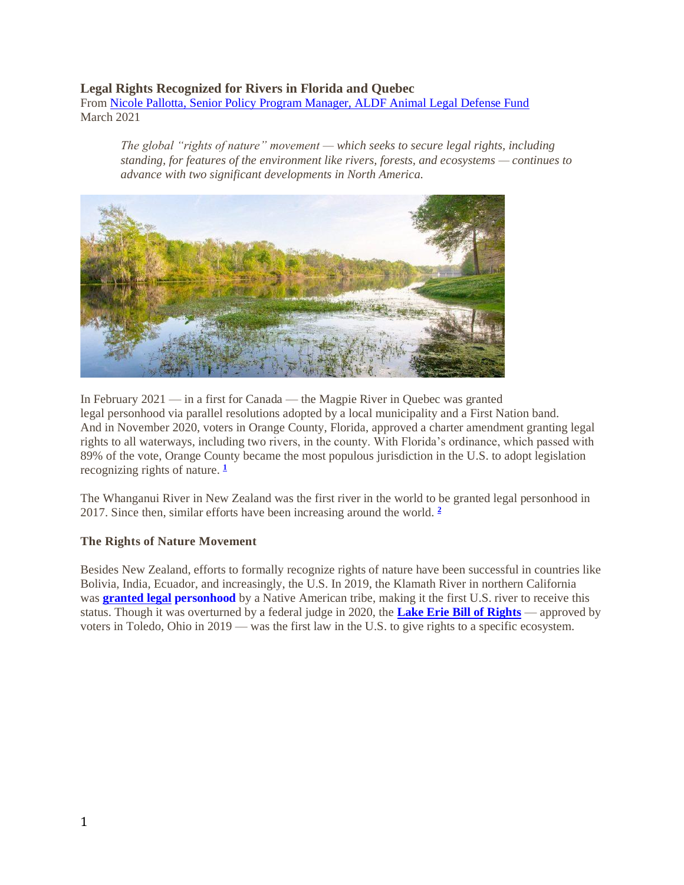## **Legal Rights Recognized for Rivers in Florida and Quebec**

From Nicole Pallotta, Senior Policy [Program Manager, ALDF Animal Legal Defense Fund](https://aldf.org/) March 2021

*The global "rights of nature" movement — which seeks to secure legal rights, including standing, for features of the environment like rivers, forests, and ecosystems — continues to advance with two significant developments in North America.*



In February 2021 — in a first for Canada — the Magpie River in Quebec was granted legal personhood via parallel resolutions adopted by a local municipality and a First Nation band. And in November 2020, voters in Orange County, Florida, approved a charter amendment granting legal rights to all waterways, including two rivers, in the county. With Florida's ordinance, which passed with 89% of the vote, Orange County became the most populous jurisdiction in the U.S. to adopt legislation recognizing rights of nature. **[1](https://aldf.org/article/legal-rights-recognized-for-rivers-in-florida-and-quebec/?utm_medium=email&utm_source=engagingnetworks&utm_campaign=210402-Animal-Law-Update-April-2021&utm_content=210402+-+Animal+Law+Update+-+April+2021#easy-footnote-bottom-1-35990)**

The Whanganui River in New Zealand was the first river in the world to be granted legal personhood in 2017. Since then, similar efforts have been increasing around the world. **[2](https://aldf.org/article/legal-rights-recognized-for-rivers-in-florida-and-quebec/?utm_medium=email&utm_source=engagingnetworks&utm_campaign=210402-Animal-Law-Update-April-2021&utm_content=210402+-+Animal+Law+Update+-+April+2021#easy-footnote-bottom-2-35990)**

## **The Rights of Nature Movement**

Besides New Zealand, efforts to formally recognize rights of nature have been successful in countries like Bolivia, India, Ecuador, and increasingly, the U.S. In 2019, the Klamath River in northern California was **[granted legal](https://www.npr.org/2019/09/29/765480451/tribe-gives-personhood-to-klamath-river) personhood** by a Native American tribe, making it the first U.S. river to receive this status. Though it was overturned by a federal judge in 2020, the **[Lake Erie Bill of Rights](https://aldf.org/article/federal-judge-strikes-down-lake-erie-bill-of-rights/#Environmental_Personhood_and_the_Rights_of_Nature)** — approved by voters in Toledo, Ohio in 2019 — was the first law in the U.S. to give rights to a specific ecosystem.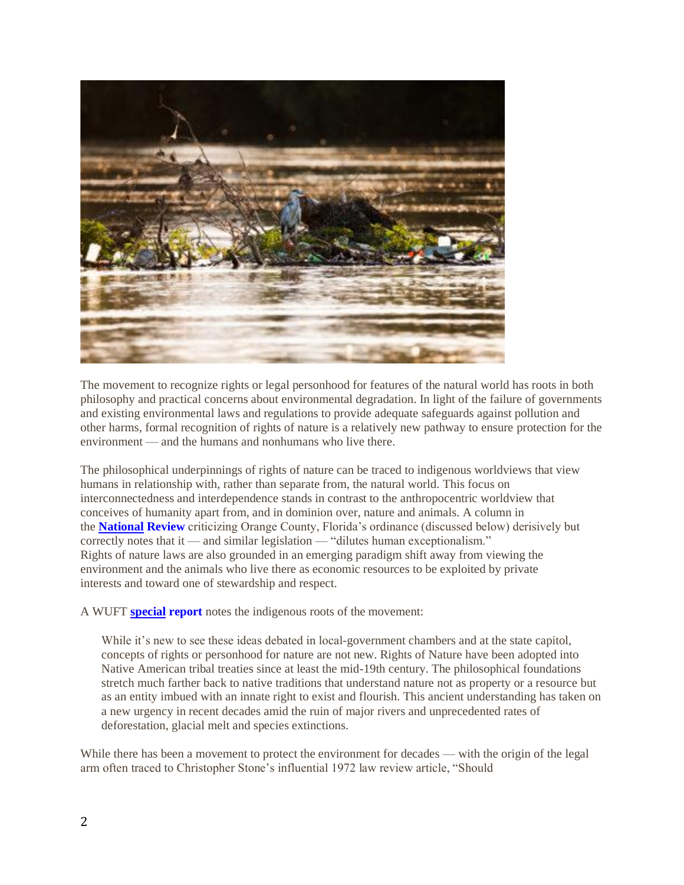

The movement to recognize rights or legal personhood for features of the natural world has roots in both philosophy and practical concerns about environmental degradation. In light of the failure of governments and existing environmental laws and regulations to provide adequate safeguards against pollution and other harms, formal recognition of rights of nature is a relatively new pathway to ensure protection for the environment — and the humans and nonhumans who live there.

The philosophical underpinnings of rights of nature can be traced to indigenous worldviews that view humans in relationship with, rather than separate from, the natural world. This focus on interconnectedness and interdependence stands in contrast to the anthropocentric worldview that conceives of humanity apart from, and in dominion over, nature and animals. A column in the **[National](https://www.nationalreview.com/corner/florida-county-passes-rights-of-nature-charter-amendment/) Review** criticizing Orange County, Florida's ordinance (discussed below) derisively but correctly notes that it — and similar legislation — "dilutes human exceptionalism." Rights of nature laws are also grounded in an emerging paradigm shift away from viewing the environment and the animals who live there as economic resources to be exploited by private interests and toward one of stewardship and respect.

A WUFT **[special](https://www.wuft.org/news/rights-of-nature/) report** notes the indigenous roots of the movement:

While it's new to see these ideas debated in local-government chambers and at the state capitol, concepts of rights or personhood for nature are not new. Rights of Nature have been adopted into Native American tribal treaties since at least the mid-19th century. The philosophical foundations stretch much farther back to native traditions that understand nature not as property or a resource but as an entity imbued with an innate right to exist and flourish. This ancient understanding has taken on a new urgency in recent decades amid the ruin of major rivers and unprecedented rates of deforestation, glacial melt and species extinctions.

While there has been a movement to protect the environment for decades — with the origin of the legal arm often traced to Christopher Stone's influential 1972 law review article, "Should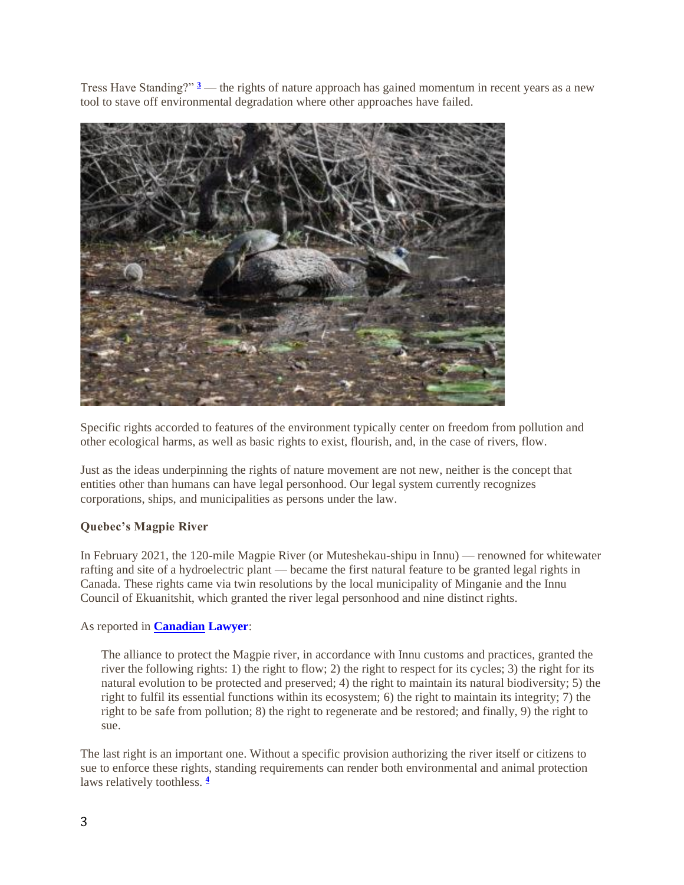Tress Have Standing?" **[3](https://aldf.org/article/legal-rights-recognized-for-rivers-in-florida-and-quebec/?utm_medium=email&utm_source=engagingnetworks&utm_campaign=210402-Animal-Law-Update-April-2021&utm_content=210402+-+Animal+Law+Update+-+April+2021#easy-footnote-bottom-3-35990)** — the rights of nature approach has gained momentum in recent years as a new tool to stave off environmental degradation where other approaches have failed.



Specific rights accorded to features of the environment typically center on freedom from pollution and other ecological harms, as well as basic rights to exist, flourish, and, in the case of rivers, flow.

Just as the ideas underpinning the rights of nature movement are not new, neither is the concept that entities other than humans can have legal personhood. Our legal system currently recognizes corporations, ships, and municipalities as persons under the law.

## **Quebec's Magpie River**

In February 2021, the 120-mile Magpie River (or Muteshekau-shipu in Innu) — renowned for whitewater rafting and site of a hydroelectric plant — became the first natural feature to be granted legal rights in Canada. These rights came via twin resolutions by the local municipality of Minganie and the Innu Council of Ekuanitshit, which granted the river legal personhood and nine distinct rights.

## As reported in **[Canadian](https://www.canadianlawyermag.com/practice-areas/indigenous/quebecs-magpie-river-is-granted-personhood/353752) Lawyer**:

The alliance to protect the Magpie river, in accordance with Innu customs and practices, granted the river the following rights: 1) the right to flow; 2) the right to respect for its cycles; 3) the right for its natural evolution to be protected and preserved; 4) the right to maintain its natural biodiversity; 5) the right to fulfil its essential functions within its ecosystem; 6) the right to maintain its integrity; 7) the right to be safe from pollution; 8) the right to regenerate and be restored; and finally, 9) the right to sue.

The last right is an important one. Without a specific provision authorizing the river itself or citizens to sue to enforce these rights, standing requirements can render both environmental and animal protection laws relatively toothless. **[4](https://aldf.org/article/legal-rights-recognized-for-rivers-in-florida-and-quebec/?utm_medium=email&utm_source=engagingnetworks&utm_campaign=210402-Animal-Law-Update-April-2021&utm_content=210402+-+Animal+Law+Update+-+April+2021#easy-footnote-bottom-4-35990)**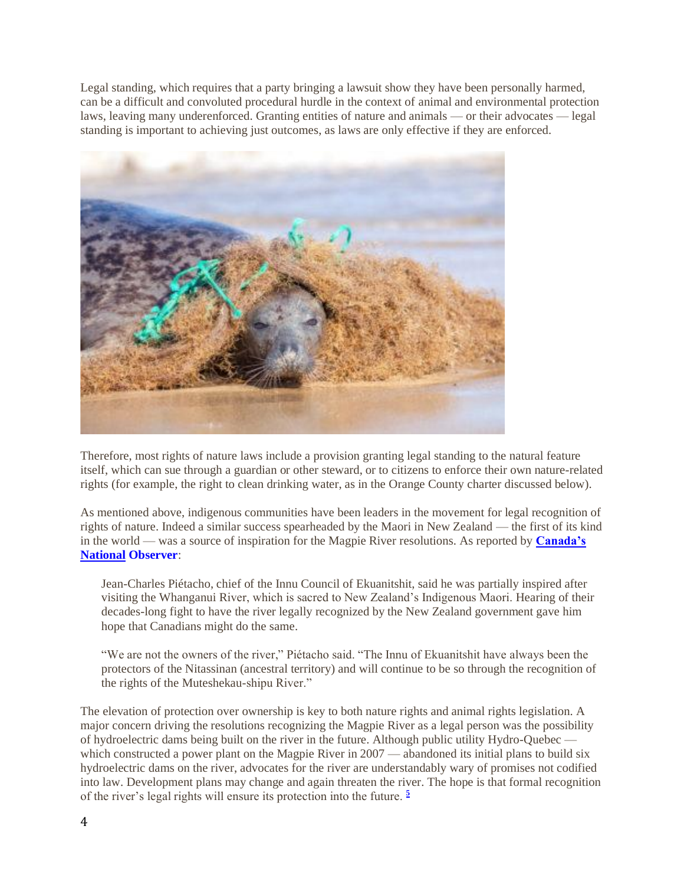Legal standing, which requires that a party bringing a lawsuit show they have been personally harmed, can be a difficult and convoluted procedural hurdle in the context of animal and environmental protection laws, leaving many underenforced. Granting entities of nature and animals — or their advocates — legal standing is important to achieving just outcomes, as laws are only effective if they are enforced.



Therefore, most rights of nature laws include a provision granting legal standing to the natural feature itself, which can sue through a guardian or other steward, or to citizens to enforce their own nature-related rights (for example, the right to clean drinking water, as in the Orange County charter discussed below).

As mentioned above, indigenous communities have been leaders in the movement for legal recognition of rights of nature. Indeed a similar success spearheaded by the Maori in New Zealand — the first of its kind in the world — was a source of inspiration for the Magpie River resolutions. As reported by **[Canada's](https://www.nationalobserver.com/2021/02/24/news/quebecs-magpie-river-first-in-canada-granted-legal-personhood)  National [Observer](https://www.nationalobserver.com/2021/02/24/news/quebecs-magpie-river-first-in-canada-granted-legal-personhood)**:

Jean-Charles Piétacho, chief of the Innu Council of Ekuanitshit, said he was partially inspired after visiting the Whanganui River, which is sacred to New Zealand's Indigenous Maori. Hearing of their decades-long fight to have the river legally recognized by the New Zealand government gave him hope that Canadians might do the same.

"We are not the owners of the river," Piétacho said. "The Innu of Ekuanitshit have always been the protectors of the Nitassinan (ancestral territory) and will continue to be so through the recognition of the rights of the Muteshekau-shipu River."

The elevation of protection over ownership is key to both nature rights and animal rights legislation. A major concern driving the resolutions recognizing the Magpie River as a legal person was the possibility of hydroelectric dams being built on the river in the future. Although public utility Hydro-Quebec which constructed a power plant on the Magpie River in 2007 — abandoned its initial plans to build six hydroelectric dams on the river, advocates for the river are understandably wary of promises not codified into law. Development plans may change and again threaten the river. The hope is that formal recognition of the river's legal rights will ensure its protection into the future. **[5](https://aldf.org/article/legal-rights-recognized-for-rivers-in-florida-and-quebec/?utm_medium=email&utm_source=engagingnetworks&utm_campaign=210402-Animal-Law-Update-April-2021&utm_content=210402+-+Animal+Law+Update+-+April+2021#easy-footnote-bottom-5-35990)**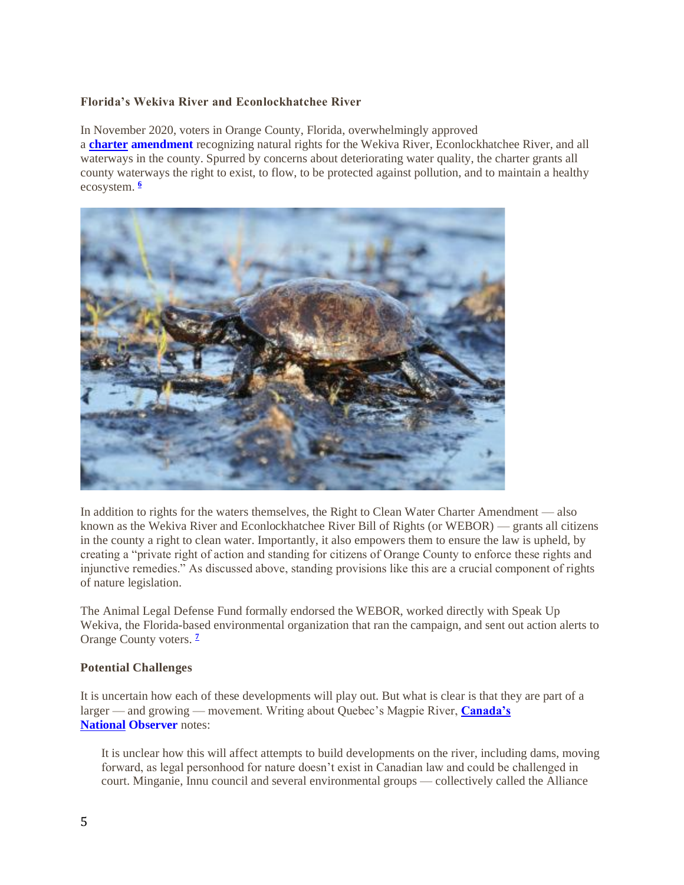## **Florida's Wekiva River and Econlockhatchee River**

In November 2020, voters in Orange County, Florida, overwhelmingly approved a **charter [amendment](https://www.ocfelections.com/sites/default/files/SiteSectionFiles/Links%20A/forms/2020%20CRC%20Final%20Report.pdf)** recognizing natural rights for the Wekiva River, Econlockhatchee River, and all waterways in the county. Spurred by concerns about deteriorating water quality, the charter grants all county waterways the right to exist, to flow, to be protected against pollution, and to maintain a healthy ecosystem. **[6](https://aldf.org/article/legal-rights-recognized-for-rivers-in-florida-and-quebec/?utm_medium=email&utm_source=engagingnetworks&utm_campaign=210402-Animal-Law-Update-April-2021&utm_content=210402+-+Animal+Law+Update+-+April+2021#easy-footnote-bottom-6-35990)**



In addition to rights for the waters themselves, the Right to Clean Water Charter Amendment — also known as the Wekiva River and Econlockhatchee River Bill of Rights (or WEBOR) — grants all citizens in the county a right to clean water. Importantly, it also empowers them to ensure the law is upheld, by creating a "private right of action and standing for citizens of Orange County to enforce these rights and injunctive remedies." As discussed above, standing provisions like this are a crucial component of rights of nature legislation.

The Animal Legal Defense Fund formally endorsed the WEBOR, worked directly with Speak Up Wekiva, the Florida-based environmental organization that ran the campaign, and sent out action alerts to Orange County voters. **[7](https://aldf.org/article/legal-rights-recognized-for-rivers-in-florida-and-quebec/?utm_medium=email&utm_source=engagingnetworks&utm_campaign=210402-Animal-Law-Update-April-2021&utm_content=210402+-+Animal+Law+Update+-+April+2021#easy-footnote-bottom-7-35990)**

## **Potential Challenges**

It is uncertain how each of these developments will play out. But what is clear is that they are part of a larger — and growing — movement. Writing about Quebec's Magpie River, **[Canada's](https://www.nationalobserver.com/2021/02/24/news/quebecs-magpie-river-first-in-canada-granted-legal-personhood)  National [Observer](https://www.nationalobserver.com/2021/02/24/news/quebecs-magpie-river-first-in-canada-granted-legal-personhood)** notes:

It is unclear how this will affect attempts to build developments on the river, including dams, moving forward, as legal personhood for nature doesn't exist in Canadian law and could be challenged in court. Minganie, Innu council and several environmental groups — collectively called the Alliance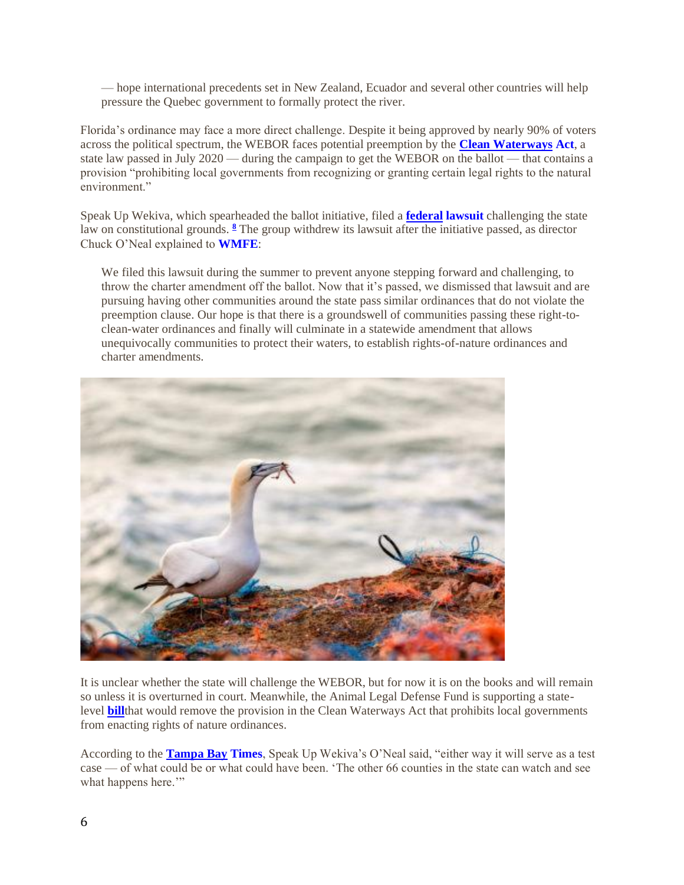— hope international precedents set in New Zealand, Ecuador and several other countries will help pressure the Quebec government to formally protect the river.

Florida's ordinance may face a more direct challenge. Despite it being approved by nearly 90% of voters across the political spectrum, the WEBOR faces potential preemption by the **[Clean Waterways](https://www.flsenate.gov/Session/Bill/2020/712/BillText/er/HTML) Act**, a state law passed in July 2020 — during the campaign to get the WEBOR on the ballot — that contains a provision "prohibiting local governments from recognizing or granting certain legal rights to the natural environment."

Speak Up Wekiva, which spearheaded the ballot initiative, filed a **federal [lawsuit](https://www.courtlistener.com/recap/gov.uscourts.flmd.378886/gov.uscourts.flmd.378886.1.0_1.pdf)** challenging the state law on constitutional grounds. **[8](https://aldf.org/article/legal-rights-recognized-for-rivers-in-florida-and-quebec/?utm_medium=email&utm_source=engagingnetworks&utm_campaign=210402-Animal-Law-Update-April-2021&utm_content=210402+-+Animal+Law+Update+-+April+2021#easy-footnote-bottom-8-35990)** The group withdrew its lawsuit after the initiative passed, as director Chuck O'Neal explained to **[WMFE](https://www.wmfe.org/conversations-a-new-focus-not-on-regulating-polluters-but-protecting-rights-of-nature/168887)**:

We filed this lawsuit during the summer to prevent anyone stepping forward and challenging, to throw the charter amendment off the ballot. Now that it's passed, we dismissed that lawsuit and are pursuing having other communities around the state pass similar ordinances that do not violate the preemption clause. Our hope is that there is a groundswell of communities passing these right-toclean-water ordinances and finally will culminate in a statewide amendment that allows unequivocally communities to protect their waters, to establish rights-of-nature ordinances and charter amendments.



It is unclear whether the state will challenge the WEBOR, but for now it is on the books and will remain so unless it is overturned in court. Meanwhile, the Animal Legal Defense Fund is supporting a statelevel **[bill](https://aldf.org/project/empowering-local-governments-to-pass-rights-of-nature-initiatives-florida/)**that would remove the provision in the Clean Waterways Act that prohibits local governments from enacting rights of nature ordinances.

According to the **[Tampa Bay](https://www.tampabay.com/news/environment/2020/08/13/florida-advocacy-group-says-environmental-law-hurts-its-chance-to-save-nature/) Times**, Speak Up Wekiva's O'Neal said, "either way it will serve as a test case — of what could be or what could have been. 'The other 66 counties in the state can watch and see what happens here.""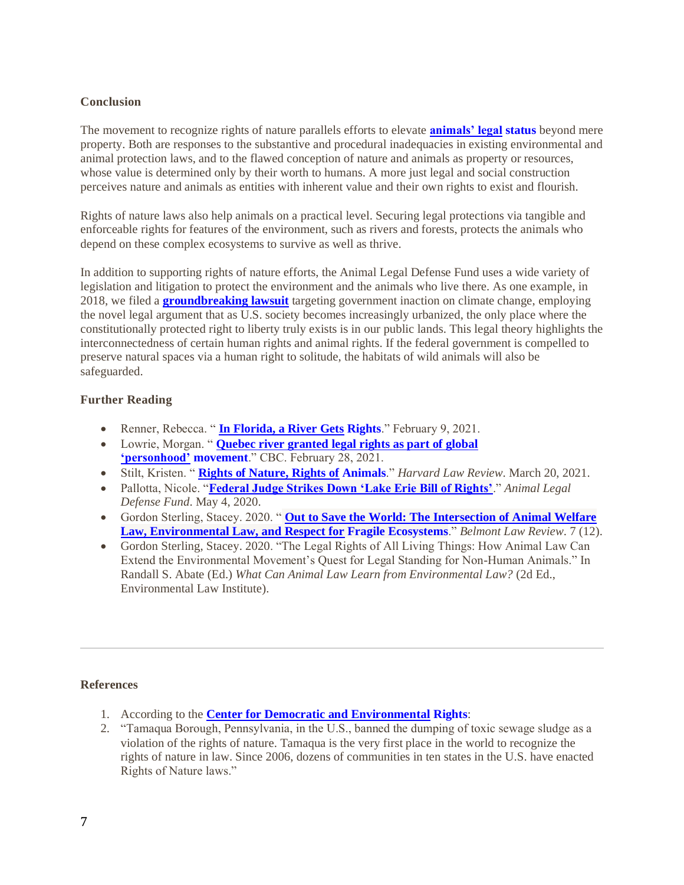## **Conclusion**

The movement to recognize rights of nature parallels efforts to elevate **[animals' legal](http://www.aldf.org/status) status** beyond mere property. Both are responses to the substantive and procedural inadequacies in existing environmental and animal protection laws, and to the flawed conception of nature and animals as property or resources, whose value is determined only by their worth to humans. A more just legal and social construction perceives nature and animals as entities with inherent value and their own rights to exist and flourish.

Rights of nature laws also help animals on a practical level. Securing legal protections via tangible and enforceable rights for features of the environment, such as rivers and forests, protects the animals who depend on these complex ecosystems to survive as well as thrive.

In addition to supporting rights of nature efforts, the Animal Legal Defense Fund uses a wide variety of legislation and litigation to protect the environment and the animals who live there. As one example, in 2018, we filed a **[groundbreaking lawsuit](https://aldf.org/article/historic-lawsuit-targets-government-inaction-on-climate-change-violating-constitutional-right-to-liberty/)** targeting government inaction on climate change, employing the novel legal argument that as U.S. society becomes increasingly urbanized, the only place where the constitutionally protected right to liberty truly exists is in our public lands. This legal theory highlights the interconnectedness of certain human rights and animal rights. If the federal government is compelled to preserve natural spaces via a human right to solitude, the habitats of wild animals will also be safeguarded.

# **Further Reading**

- Renner, Rebecca. " **[In Florida, a River Gets](https://www.sierraclub.org/sierra/2021-2-march-april/protect/florida-river-gets-rights) Rights**." February 9, 2021.
- Lowrie, Morgan. " **[Quebec river granted legal rights as part of global](https://www.cbc.ca/news/canada/montreal/magpie-river-quebec-canada-personhood-1.5931067)  ['personhood'](https://www.cbc.ca/news/canada/montreal/magpie-river-quebec-canada-personhood-1.5931067) movement**." CBC. February 28, 2021.
- Stilt, Kristen. " **[Rights of Nature, Rights of](https://harvardlawreview.org/2021/03/rights-of-nature-rights-of-animals/) Animals**." *Harvard Law Review*. March 20, 2021.
- Pallotta, Nicole. "**[Federal Judge Strikes Down 'Lake Erie Bill of Rights'](https://aldf.org/article/federal-judge-strikes-down-lake-erie-bill-of-rights/)**." *Animal Legal Defense Fund*. May 4, 2020.
- Gordon Sterling, Stacey. 2020. " **[Out to Save the World: The Intersection of Animal Welfare](https://cpb-us-w2.wpmucdn.com/blogs.belmont.edu/dist/8/25/files/2020/03/Gordon-Sterling_343-69.pdf)  [Law, Environmental Law, and Respect for](https://cpb-us-w2.wpmucdn.com/blogs.belmont.edu/dist/8/25/files/2020/03/Gordon-Sterling_343-69.pdf) Fragile Ecosystems**." *Belmont Law Review*. 7 (12).
- Gordon Sterling, Stacey. 2020. "The Legal Rights of All Living Things: How Animal Law Can Extend the Environmental Movement's Quest for Legal Standing for Non-Human Animals." In Randall S. Abate (Ed.) *What Can Animal Law Learn from Environmental Law?* (2d Ed., Environmental Law Institute).

## **References**

- 1. According to the **[Center for Democratic and Environmental](https://www.centerforenvironmentalrights.org/timeline) Rights**:
- 2. "Tamaqua Borough, Pennsylvania, in the U.S., banned the dumping of toxic sewage sludge as a violation of the rights of nature. Tamaqua is the very first place in the world to recognize the rights of nature in law. Since 2006, dozens of communities in ten states in the U.S. have enacted Rights of Nature laws."